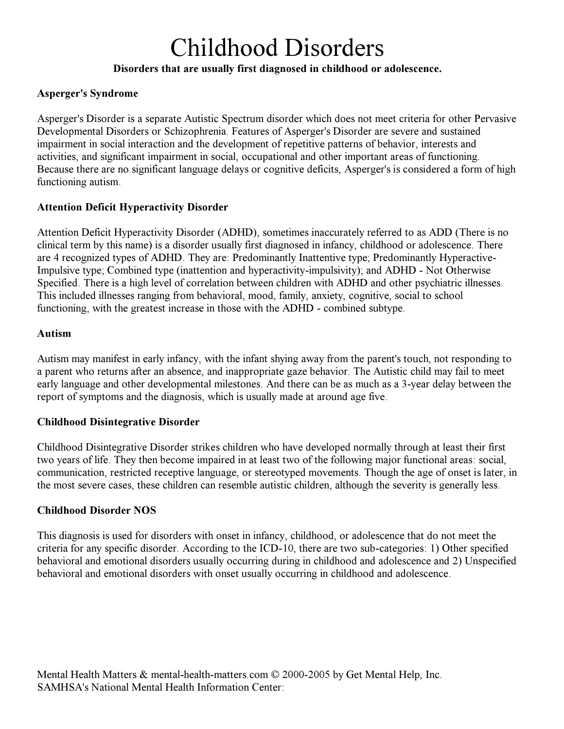## Disorders that are usually first diagnosed in childhood or adolescence.

## Asperger's Syndrome

Asperger's Disorder is a separate Autistic Spectrum disorder which does not meet criteria for other Pervasive Developmental Disorders or Schizophrenia. Features of Asperger's Disorder are severe and sustained impairment in social interaction and the development of repetitive patterns of behavior, interests and activities, and significant impairment in social, occupational and other important areas of functioning. Because there are no significant language delays or cognitive deficits, Asperger's is considered a form of high functioning autism.

## Attention Deficit Hyperactivity Disorder

Attention Deficit Hyperactivity Disorder (ADHD), sometimes inaccurately referred to as ADD (There is no clinical term by this name) is a disorder usually first diagnosed in infancy, childhood or adolescence. There are 4 recognized types of ADHD. They are: Predominantly Inattentive type; Predominantly Hyperactive-Impulsive type; Combined type (inattention and hyperactivity-impulsivity); and ADHD - Not Otherwise Specified. There is a high level of correlation between children with ADHD and other psychiatric illnesses. This included illnesses ranging from behavioral, mood, family, anxiety, cognitive, social to school functioning, with the greatest increase in those with the ADHD - combined subtype.

## Autism

Autism may manifest in early infancy, with the infant shying away from the parent's touch, not responding to a parent who returns after an absence, and inappropriate gaze behavior. The Autistic child may fail to meet early language and other developmental milestones. And there can be as much as a 3-year delay between the report of symptoms and the diagnosis, which is usually made at around age five.

## Childhood Disintegrative Disorder

Childhood Disintegrative Disorder strikes children who have developed normally through at least their first two years of life. They then become impaired in at least two of the following major functional areas: social, communication, restricted receptive language, or stereotyped movements. Though the age of onset is later, in the most severe cases, these children can resemble autistic children, although the severity is generally less.

## Childhood Disorder NOS

This diagnosis is used for disorders with onset in infancy, childhood, or adolescence that do not meet the criteria for any specific disorder. According to the ICD-10, there are two sub-categories: 1) Other specified behavioral and emotional disorders usually occurring during in childhood and adolescence and 2) Unspecified behavioral and emotional disorders with onset usually occurring in childhood and adolescence.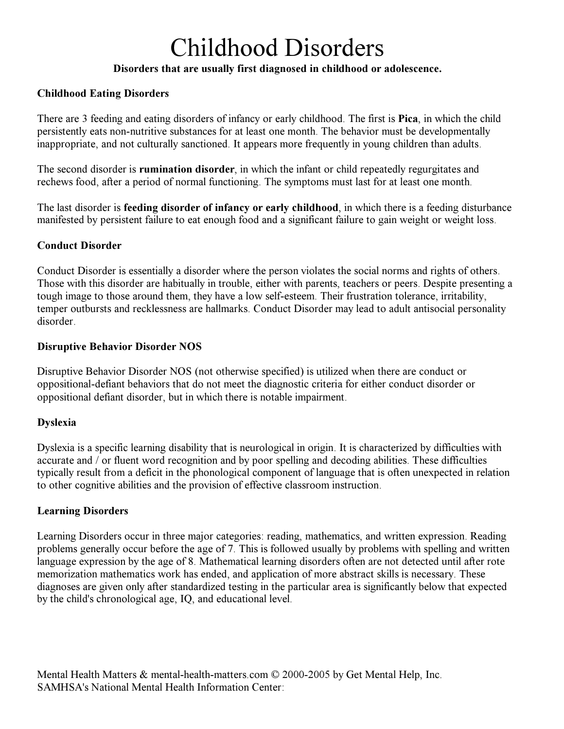## Disorders that are usually first diagnosed in childhood or adolescence.

## Childhood Eating Disorders

There are 3 feeding and eating disorders of infancy or early childhood. The first is **Pica**, in which the child persistently eats non-nutritive substances for at least one month. The behavior must be developmentally inappropriate, and not culturally sanctioned. It appears more frequently in young children than adults.

The second disorder is **rumination disorder**, in which the infant or child repeatedly regurgitates and rechews food, after a period of normal functioning. The symptoms must last for at least one month.

The last disorder is **feeding disorder of infancy or early childhood**, in which there is a feeding disturbance manifested by persistent failure to eat enough food and a significant failure to gain weight or weight loss.

### Conduct Disorder

Conduct Disorder is essentially a disorder where the person violates the social norms and rights of others. Those with this disorder are habitually in trouble, either with parents, teachers or peers. Despite presenting a tough image to those around them, they have a low self-esteem. Their frustration tolerance, irritability, temper outbursts and recklessness are hallmarks. Conduct Disorder may lead to adult antisocial personality disorder.

### Disruptive Behavior Disorder NOS

Disruptive Behavior Disorder NOS (not otherwise specified) is utilized when there are conduct or oppositional-defiant behaviors that do not meet the diagnostic criteria for either conduct disorder or oppositional defiant disorder, but in which there is notable impairment.

## Dyslexia

Dyslexia is a specific learning disability that is neurological in origin. It is characterized by difficulties with accurate and / or fluent word recognition and by poor spelling and decoding abilities. These difficulties typically result from a deficit in the phonological component of language that is often unexpected in relation to other cognitive abilities and the provision of effective classroom instruction.

## Learning Disorders

Learning Disorders occur in three major categories: reading, mathematics, and written expression. Reading problems generally occur before the age of 7. This is followed usually by problems with spelling and written language expression by the age of 8. Mathematical learning disorders often are not detected until after rote memorization mathematics work has ended, and application of more abstract skills is necessary. These diagnoses are given only after standardized testing in the particular area is significantly below that expected by the child's chronological age, IQ, and educational level.

Mental Health Matters & mental-health-matters.com © 2000-2005 by Get Mental Help, Inc. SAMHSA's National Mental Health Information Center: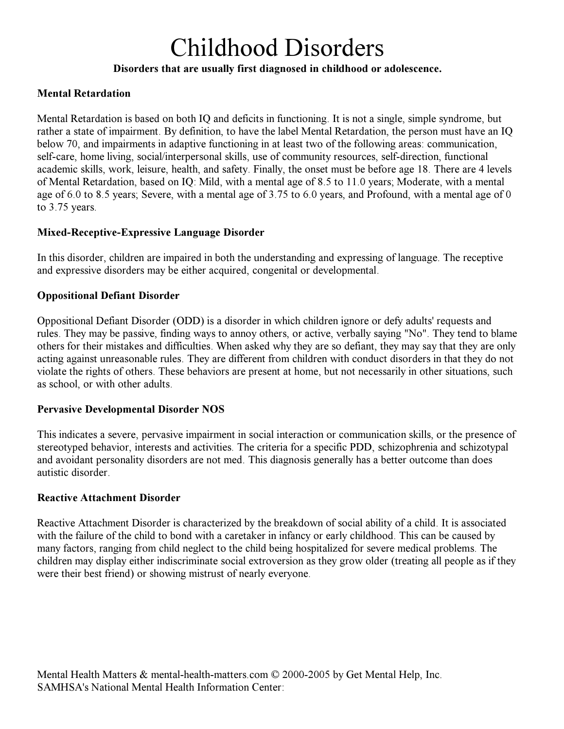## Disorders that are usually first diagnosed in childhood or adolescence.

### Mental Retardation

Mental Retardation is based on both IQ and deficits in functioning. It is not a single, simple syndrome, but rather a state of impairment. By definition, to have the label Mental Retardation, the person must have an IQ below 70, and impairments in adaptive functioning in at least two of the following areas: communication, self-care, home living, social/interpersonal skills, use of community resources, self-direction, functional academic skills, work, leisure, health, and safety. Finally, the onset must be before age 18. There are 4 levels of Mental Retardation, based on IQ: Mild, with a mental age of 8.5 to 11.0 years; Moderate, with a mental age of 6.0 to 8.5 years; Severe, with a mental age of 3.75 to 6.0 years, and Profound, with a mental age of 0 to 3.75 years.

### Mixed-Receptive-Expressive Language Disorder

In this disorder, children are impaired in both the understanding and expressing of language. The receptive and expressive disorders may be either acquired, congenital or developmental.

### Oppositional Defiant Disorder

Oppositional Defiant Disorder (ODD) is a disorder in which children ignore or defy adults' requests and rules. They may be passive, finding ways to annoy others, or active, verbally saying "No". They tend to blame others for their mistakes and difficulties. When asked why they are so defiant, they may say that they are only acting against unreasonable rules. They are different from children with conduct disorders in that they do not violate the rights of others. These behaviors are present at home, but not necessarily in other situations, such as school, or with other adults.

#### Pervasive Developmental Disorder NOS

This indicates a severe, pervasive impairment in social interaction or communication skills, or the presence of stereotyped behavior, interests and activities. The criteria for a specific PDD, schizophrenia and schizotypal and avoidant personality disorders are not med. This diagnosis generally has a better outcome than does autistic disorder.

#### Reactive Attachment Disorder

Reactive Attachment Disorder is characterized by the breakdown of social ability of a child. It is associated with the failure of the child to bond with a caretaker in infancy or early childhood. This can be caused by many factors, ranging from child neglect to the child being hospitalized for severe medical problems. The children may display either indiscriminate social extroversion as they grow older (treating all people as if they were their best friend) or showing mistrust of nearly everyone.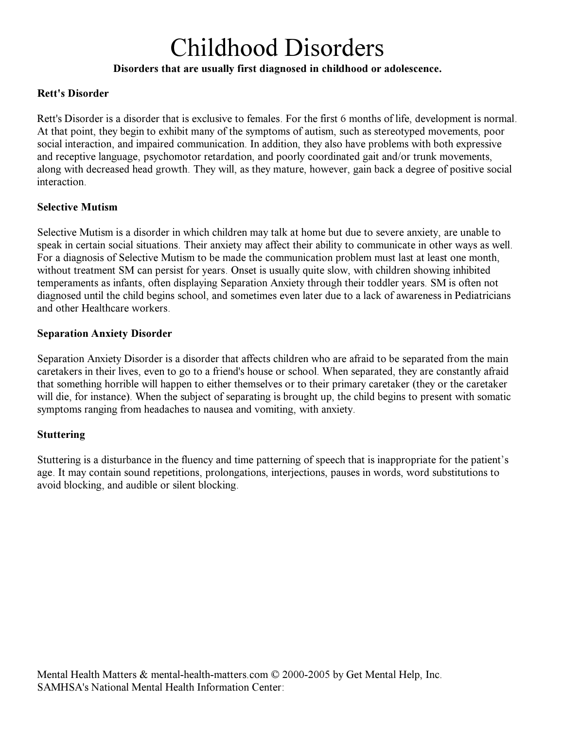## Disorders that are usually first diagnosed in childhood or adolescence.

### Rett's Disorder

Rett's Disorder is a disorder that is exclusive to females. For the first 6 months of life, development is normal. At that point, they begin to exhibit many of the symptoms of autism, such as stereotyped movements, poor social interaction, and impaired communication. In addition, they also have problems with both expressive and receptive language, psychomotor retardation, and poorly coordinated gait and/or trunk movements, along with decreased head growth. They will, as they mature, however, gain back a degree of positive social interaction.

### Selective Mutism

Selective Mutism is a disorder in which children may talk at home but due to severe anxiety, are unable to speak in certain social situations. Their anxiety may affect their ability to communicate in other ways as well. For a diagnosis of Selective Mutism to be made the communication problem must last at least one month, without treatment SM can persist for years. Onset is usually quite slow, with children showing inhibited temperaments as infants, often displaying Separation Anxiety through their toddler years. SM is often not diagnosed until the child begins school, and sometimes even later due to a lack of awareness in Pediatricians and other Healthcare workers.

### Separation Anxiety Disorder

Separation Anxiety Disorder is a disorder that affects children who are afraid to be separated from the main caretakers in their lives, even to go to a friend's house or school. When separated, they are constantly afraid that something horrible will happen to either themselves or to their primary caretaker (they or the caretaker will die, for instance). When the subject of separating is brought up, the child begins to present with somatic symptoms ranging from headaches to nausea and vomiting, with anxiety.

## **Stuttering**

Stuttering is a disturbance in the fluency and time patterning of speech that is inappropriate for the patient's age. It may contain sound repetitions, prolongations, interjections, pauses in words, word substitutions to avoid blocking, and audible or silent blocking.